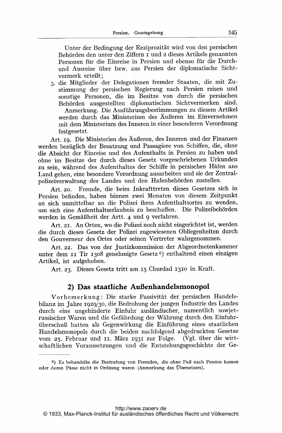Unter der Bedingung der Reziprozität wird von den persischen Behörden den unter den Ziffern I und 2 dieses Artikels genannten Personen für die Einreise in Persien und ebenso für die Durchund Ausreise über bzw. aus Persien der diplomatische Sichtvermerk erteilt;

3. die Mitglieder der Delegationen fremder Staaten, die mit Zustimmung der persischen Regierung nach Persien reisen und sonstige Personen, die im Besitze von durch die persischen Behörden ausgestellten diplomatischen Sichtvermerken sind.

Anmerkung. Die Ausführungsbestimmungen zu diesem Artikel werden durch das Ministerium des Äußeren im Einvernehmen mit dem Ministerium des Inneren in einer besonderen Verordnung festgesetzt.

Art. 19. Die Ministerien des Äußeren, des Inneren und der Finanzen werden bezüglich der Besatzung und Passagiere von Schiffen, die, ohne die Absicht der Einreise und des Aufenthalts in Persien zu haben und ohne im Besitze der durch dieses Gesetz vorgeschriebenen Urkunden zu sein, während des Aufenthaltes der Schiffe in persischen Häfen ans Land gehen, eine besondere Verordnung ausarbeiten und sie der Zentralpolizeiverwaltung des Landes und den Hafenbehörden zustellen.

Fremde, die beim Inkrafttreten dieses Gesetzes sich in Art. 20. Persien befinden, haben binnen zwei Monaten von diesem Zeitpunkt an sich unmittelbar an die Polizei ihres Aufenthaltsortes zu wenden, um sich eine Aufenthaltserlaubnis zu beschaffen. Die Polizeibehörden werden in Gemäßheit der Artt. 4 und 9 verfahren.

Art. 21. An Orten, wo die Polizei noch nicht eingerichtet ist, werden die durch dieses Gesetz der Polizei zugewiesenen Obliegenheiten durch den Gouverneur des Ortes oder seinen Vertreter wahrgenommen.

Art. 22. Das von der Justizkommission der Abgeordnetenkammer unter dem II Tir 1308 genehmigte Gesetz<sup>6</sup>) enthaltend einen einzigen Artikel, ist aufgehoben.

Art. 23. Dieses Gesetz tritt am 15 Churdad 1310 in Kraft.

## 2) Das staatliche Außenhandelsmonopol

Vorbemerkung: Die starke Passivität der persischen Handelsbilanz im Jahre 1929/30, die Bedrohung der jungen Industrie des Landes durch eine ungehinderte Einfuhr ausländischer, namentlich sowjetrussischer Waren und die Gefährdung der Währung durch den Einfuhrüberschuß hatten als Gegenwirkung die Einführung eines staatlichen Handelsmonopols durch die beiden nachfolgend abgedruckten Gesetze vom 25. Februar und II. März 1931 zur Folge. (Vgl. über die wirtschaftlichen Voraussetzungen und die Entstehungsgeschichte der Ge-

<http://www.zaoerv.de>

<sup>6)</sup> Es behandelte die Bestrafung von Fremden, die ohne Paß nach Persien kamen oder deren Pässe nicht in Ordnung waren (Anmerkung des Übersetzers).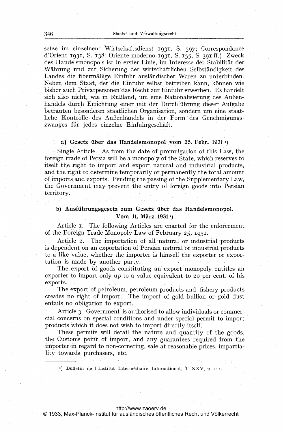setze im. einzelnen: Wirtschaftsdienst 1931, S. 597; Correspondance d'Orient 1931, S. 138; Oriente moderno 1931, S. 155, S. 391 ff.) Zweck des Handelsmonopols ist in erster Linie, im interesse der Stabilität der Währung und zur Sicherung der wirtschaftlichen Selbständigkeit des Landes die übermäßige Einfuhr ausländischer Waren zu unterbinden. Neben dem Staat, der die Einfuhr selbst betreiben kann, können wie bisher auch Privatpersonen das Recht zur Einfuhr erwerben. Es handelt sich also nicht, wie in Rußland, um eine Nationalisierung des Außenhandels durch Errichtung einer mit der Durchführung dieser Aufgabe betrauten besonderen staatlichen Organisation, sondern um eine staatliche Kontrolle des AuBenhandels in der Form des Genehmigungszwanges für jedes einzelne Einfuhrgeschäft.

### a) Gesetz über das Handelsmonopol vom 25. Febr. 1931 $r$ )

Single Article. As from the date of promulgation of this Law, the foreign trade of Persia will be a monopoly of the State, which reserves to itself the right to import and export natural and industrial products, and the right to determine temporarily or permanently the total amount of imports and exports. Pending the passing of the Supplementary Law, the Government may prevent the entry of foreign goods into Persian territory.

### b) Ausführungsgesetz zum Gesetz über das Handelsmonopol. Vom 11. März 1931 <sup>1</sup>)

Article i. The following Articles are enacted for the enforcement of the Foreign'Trade Monopoly Law of February 25, 1931.

Article 2. The importation of all natural or industrial products is dependent on an exportation of Persian natural or industrial products, to a like value, whether the importer is himself the exporter or exportation is made by another party.

The export of goods constituting an export monopoly entitles an exporter to import only up to a value equivalent to 20 per cent. of his exports.

The export of petroleum, petroleum products and fishery products creates no right of import. The import of gold bullion or gold dust entails no obligation to export.

Article 3. Government is authorised to allow individuals or commercial concerns on special conditions and under special permit to import products which it does not wish to import directly itself.

These permits will detail the nature and quantity of the goods, the Customs point of import, and any guarantees required from the importer in regard to non-cornering, sale at reasonable prices, impartiality towards purchasers, etc.

<sup>1</sup>) Bulletin de l'Institut Intermédiaire International, T. XXV, p. 141.

### <http://www.zaoerv.de>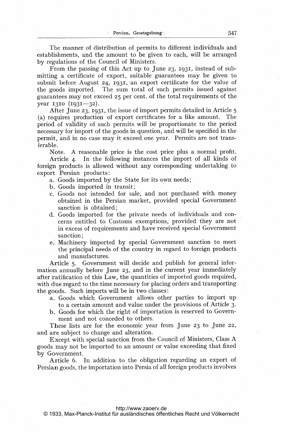The manner of distribution of permits to different individuals and establishments, and the amount to be given to each, will be arranged by regulations of the Council of Ministers.

From the passing of this Act up to June 23, 1931, instead of submitting <sup>a</sup> certificate of export, suitable guarantees may be given to submit before August  $24$ , 1931, an export certificate for the value of the goods imported. The sum total of such permits issued against guarantees may not exceed 25 per cent. of the total requirements of the year  $1310 (1931 - 32)$ .

After June 23, 1931, the issue of import permits detailed in Article <sup>5</sup> (a) requires production of export certificates for a like amount. The period of validity of such permits will be proportionate to the period necessary for import of the goods in question, and will be specified in the permit, and in no case may it exceed one year. Permits are not transferable.

Note. A reasonable price is the cost price plus <sup>a</sup> normal profit. Article 4. In the following instances the import of all kinds of foreign products is allowed without any corresponding undertaking to export Persian products:

- a. Goods imported by the State for its own needs;
- b. Goods imported in transit;
- c. Goods not intended for sale, and not purchased with money obtained in the Persian market, provided special Government sanction is obtained;
- d. Goods imported for the private needs of individuals and concerns entitled to Customs exemptions, provided they are not in excess of requirements and have received special Government sanction;
- e. Machinery imported by special Government sanction to meet the principal needs of the country in regard to foreign products and manufactures.

Article 5. Government will decide and publish for general information annually before June 23, and in the current year immediately after ratification of this Law, the quantities of imported goods required, with due regard to the time necessary for placing orders and transporting the goods. Such imports will be in two classes:

- a. Goods which Government allows other parties to import up to a certain amount and value under the provisions of Article 3.
- b. Goods for which the right of importation is reserved to Government and not conceded to others.

These lists are for the economic year from June 23 to June 22, and are subject to change and alteration.

Except with special sanction from the Council of Ministers, Class A goods may not be imported to an amount or value exceeding that fixed by Government.

Article 6. In addition to the obligation regarding an export of Persian goods, the importation into Persia of all foreign products involves

### <http://www.zaoerv.de>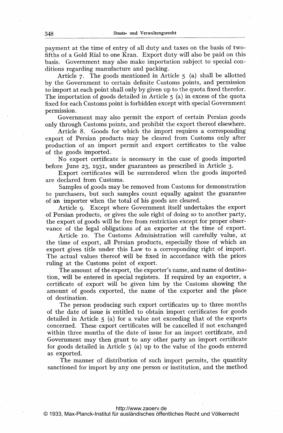payment at the time of entry of all duty and taxes on the basis of twofifths of a Gold Rial to one Kran. Export duty will also be paid on this basis. Government may also make importation subject to special conditions regarding manufacture and packing.

Article 7. The goods mentioned in Article <sup>5</sup> (a) shall be allotted by the Government to certain definite Customs points, and permission. to import at each point shall only by given up to the quota fixed therefor. The importation of goods detailed in Article <sup>5</sup> (a) in excess of the quota fixed for each Customs point is forbidden except with special Government permission.

Government may also permit the export of certain Persian goods only through Customs points, and prohibit the export thereof elsewhere.

Article 8. Goods for which the import requires a corresponding export of Persian products may be cleared from Customs only after production of an import permit and export certificates to the value of the goods imported.

No export certificate is necessary in the case of goods imported before June 23, 1931, under guarantees as prescribed in Article 3.

Export certificates will be surrendered when the goods imported are declared from Customs.

Samples of goods may be removed from Customs for demonstration to purchasers, but such samples count equally against the guarantee of an importer when the total of his goods are cleared.

Article 9. Except where Government itself undertakes the export of Persian products, or gives the sole right of doing so to another party, the export of goods will be free from restriction except for proper observance of the legal obligations of an exporter at the time of export.

Article io. The Customs Administration will carefully value, at the time of export, all Persian products, especially those of which an export gives title under this Law to <sup>a</sup> corresponding right of import. The actual values thereof will be fixed in accordance with the prices ruling at the Customs point of export.

The amount of the export, the exporter's name, and name of destination, will be entered in special registers. If required by an exporter, a certificate of export will be given him by the Customs showing the amount of goods exported, the name of the exporter and the place of destination.

The person producing such export certificates up to three months of the date of issue is entitled to obtain import certificates, for goods detailed in Article <sup>5</sup> (a) for a. value not exceeding that of the exports concerned. These export certificates will be cancelled if not exchanged within three months of the date of issue for an import certificate, and Government may then grant to any other party an import certificate for goods detailed in Article <sup>5</sup> (a) up to the value of the goods entered as exported.

The manner of distribution of such import permits, the quantity sanctioned for import by any one person or institution, and the method

### <http://www.zaoerv.de>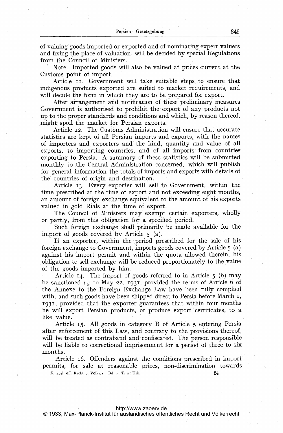of valuing goods imported or exported and of nominating expert valuers and fixing the place of valuation, will be decided by special Regulations from. the Council of Ministers.

Note. Imported goods will also be valued at prices current at the Customs point of import.

Article II. Government will take suitable steps to ensure that indigenous products exported are suited to market requirements, and will decide the form in which they are to be prepared for export.

After arrangement and notification of these preliminary measures Government is authorised to prohibit the export of any products not up to the proper standards and conditions and which, by reason thereof, might spoil the market for Persian exports.

Article 12.' The Customs Administration will ensure that accurate statistics are kept of all Persian imports and exports, with the names of importers and exporters and the kind, quantity and value of all exports, to importing countries, and of all imports from countries exporting to Persia. A summary of these statistics will be submitted monthly to the Central Administration concerned, which will publish for general information the totals of imports and exports with details of the countries of origin and destination.

Article 13. Every exporter will sell to Government, within the time prescribed at the time of export and not exceeding eight months, an amount of foreign exchange equivalent to the amount of his exports valued in gold Rials at the time of export.

The Council of Ministers may exempt certain exporters, wholly or partly, from this obligation for a specified period.

Such foreign exchange shall primarily be made available for the import of goods covered by Article <sup>5</sup> (a).

If an exporter, within the period prescribed for the sale of his foreign exchange to Government, imports goods covered by Article <sup>5</sup> (a) against his import permit and within the quota allowed therein, his obligation to sell exchange will be reduced proportionately to the value of the goods imported by him.

Article 14. The import of goods referred to in Article <sup>5</sup> (b) may be sanctioned up to May 22, 1931, provided the terms of Article 6 of the Annexe to the Foreign Exchange Law have been fully complied with, and such goods have been shipped direct to Persia before March  $I$ , 1931, provided that the exporter guarantees that within four months he will export Persian products, or produce export certificates, to a like value.

Article 15. All goods in category B of Article <sup>5</sup> entering Persia after enforcement of this Law, and contrary to the provisions thereof, will be treated as contraband and confiscated. The person responsible will be liable to correctional imprisonment for a period of three to six months.

Article 16. Offenders against the conditions prescribed in import permits, for sale at reasonable prices, non-discrimination towards

Z. ausl. öff. Recht u. Völkerr. Bd. 3. T. 2: Urk. 24

### <http://www.zaoerv.de>